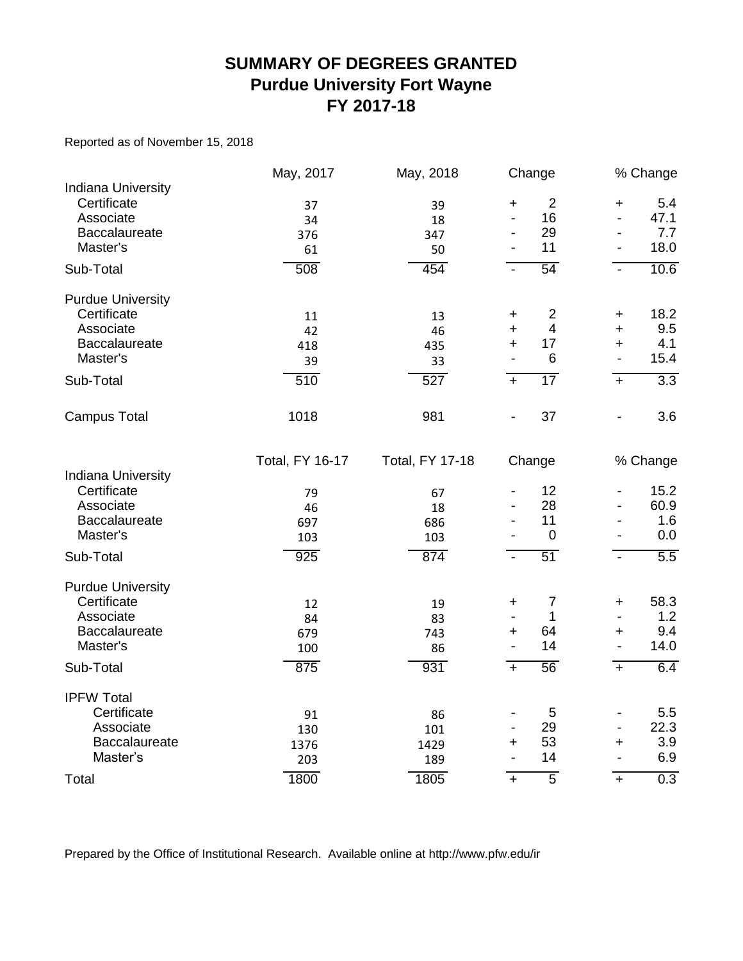### **SUMMARY OF DEGREES GRANTED Purdue University Fort Wayne FY 2017-18**

Reported as of November 15, 2018

|                                                                                    | May, 2017                | May, 2018                | Change                                               |                                                  |                                                                       | % Change                   |
|------------------------------------------------------------------------------------|--------------------------|--------------------------|------------------------------------------------------|--------------------------------------------------|-----------------------------------------------------------------------|----------------------------|
| Indiana University<br>Certificate<br>Associate                                     | 37<br>34                 | 39<br>18                 | +<br>$\blacksquare$                                  | $\overline{2}$<br>16                             | $\ddot{}$<br>$\blacksquare$                                           | 5.4<br>47.1                |
| Baccalaureate<br>Master's                                                          | 376<br>61                | 347<br>50                | -<br>$\qquad \qquad \blacksquare$                    | 29<br>11                                         | $\qquad \qquad \blacksquare$<br>$\blacksquare$                        | 7.7<br>18.0                |
| Sub-Total                                                                          | 508                      | 454                      | $\blacksquare$                                       | 54                                               | $\blacksquare$                                                        | 10.6                       |
| <b>Purdue University</b><br>Certificate<br>Associate<br><b>Baccalaureate</b>       | 11<br>42<br>418          | 13<br>46<br>435          | +<br>$\ddot{}$<br>$\ddot{}$                          | $\overline{2}$<br>$\overline{\mathcal{A}}$<br>17 | +<br>$\ddot{}$<br>$\ddot{}$                                           | 18.2<br>9.5<br>4.1         |
| Master's                                                                           | 39                       | 33                       | $\blacksquare$                                       | 6                                                | $\blacksquare$                                                        | 15.4                       |
| Sub-Total                                                                          | 510                      | $\overline{527}$         | $\ddot{}$                                            | $\overline{17}$                                  | $+$                                                                   | $\overline{3.3}$           |
| <b>Campus Total</b>                                                                | 1018                     | 981                      |                                                      | 37                                               | $\frac{1}{2}$                                                         | 3.6                        |
|                                                                                    | <b>Total, FY 16-17</b>   | <b>Total, FY 17-18</b>   | Change                                               |                                                  |                                                                       | % Change                   |
| <b>Indiana University</b><br>Certificate<br>Associate<br>Baccalaureate<br>Master's | 79<br>46<br>697<br>103   | 67<br>18<br>686<br>103   | $\overline{a}$                                       | 12<br>28<br>11<br>$\mathbf 0$                    | $\qquad \qquad \blacksquare$<br>$\overline{\phantom{a}}$              | 15.2<br>60.9<br>1.6<br>0.0 |
| Sub-Total                                                                          | 925                      | 874                      | $\blacksquare$                                       | $\overline{51}$                                  | $\blacksquare$                                                        | $\overline{5.5}$           |
| <b>Purdue University</b><br>Certificate<br>Associate<br>Baccalaureate<br>Master's  | 12<br>84<br>679<br>100   | 19<br>83<br>743<br>86    | +<br>$\overline{\phantom{a}}$<br>+<br>$\blacksquare$ | $\overline{7}$<br>1<br>64<br>14                  | $\ddot{}$<br>$\overline{\phantom{a}}$<br>+<br>$\blacksquare$          | 58.3<br>1.2<br>9.4<br>14.0 |
| Sub-Total                                                                          | 875                      | 931                      | $\overline{+}$                                       | $\overline{56}$                                  | $\overline{+}$                                                        | 6.4                        |
| <b>IPFW Total</b><br>Certificate<br>Associate<br><b>Baccalaureate</b><br>Master's  | 91<br>130<br>1376<br>203 | 86<br>101<br>1429<br>189 | -<br>$\overline{a}$<br>$\ddot{}$<br>$\overline{a}$   | 5<br>29<br>53<br>14                              | $\qquad \qquad \blacksquare$<br>$\blacksquare$<br>+<br>$\blacksquare$ | 5.5<br>22.3<br>3.9<br>6.9  |
| Total                                                                              | 1800                     | 1805                     | $\ddot{}$                                            | $\overline{5}$                                   | $\ddot{}$                                                             | $\overline{0.3}$           |

Prepared by the Office of Institutional Research. Available online at http://www.pfw.edu/ir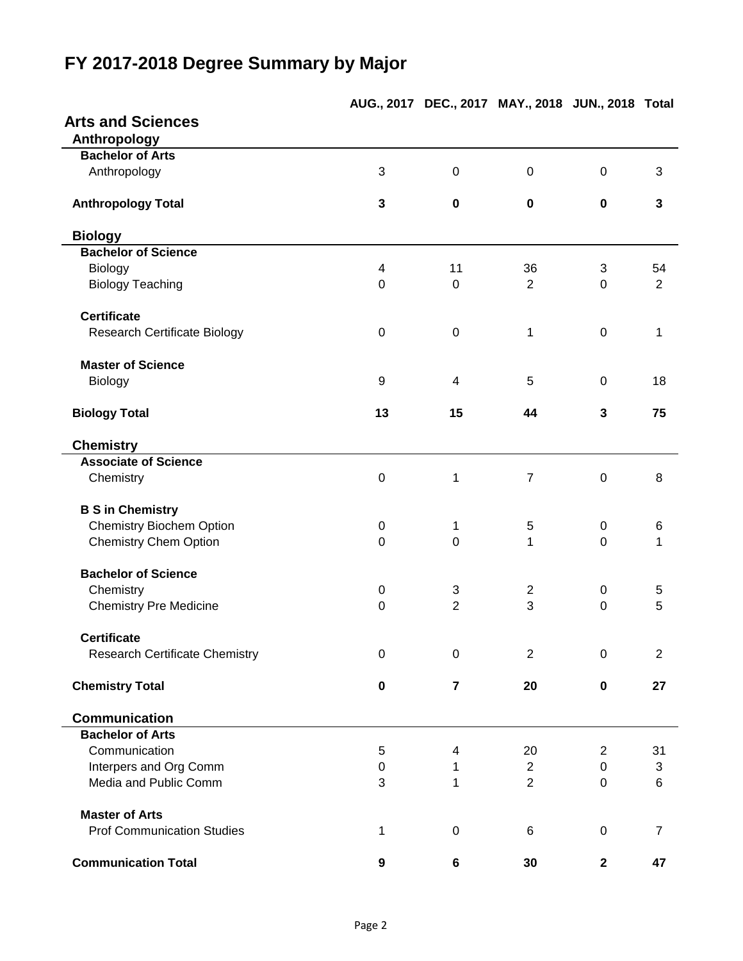## **AUG., 2017 DEC., 2017 MAY., 2018 JUN., 2018 Total Arts and Sciences Anthropology Bachelor of Arts** Anthropology 3 0 0 0 3 **Anthropology Total 3 0 0 0 3 Biology Bachelor of Science** Biology 4 11 36 3 54 Biology Teaching **D** 0 0 2 0 2 2 0 2 **Certificate** Research Certificate Biology  $0$  0 0 1 0 1 **Master of Science** Biology 9 4 5 0 18 **Biology Total 13 15 44 3 75 Chemistry Associate of Science** Chemistry 0 1 7 0 8 **B S in Chemistry** Chemistry Biochem Option **0** 0 1 5 0 6 Chemistry Chem Option **0** 0 0 1 0 1 **Bachelor of Science** Chemistry 0 3 2 0 5 Chemistry Pre Medicine **0** 2 3 0 5 **Certificate** Research Certificate Chemistry **0** 0 0 2 0 2 2 **Chemistry Total 0 7 20 0 27 Communication Bachelor of Arts** Communication 6 5 4 20 2 31 Interpers and Org Comm 0 1 2 0 3 Media and Public Comm and Real and Public Comm and Real and Real and Real and Real and Real and Real and Real A **Master of Arts** Prof Communication Studies 1 0 6 0 7 **Communication Total 9 6 30 2 47**

# **FY 2017-2018 Degree Summary by Major**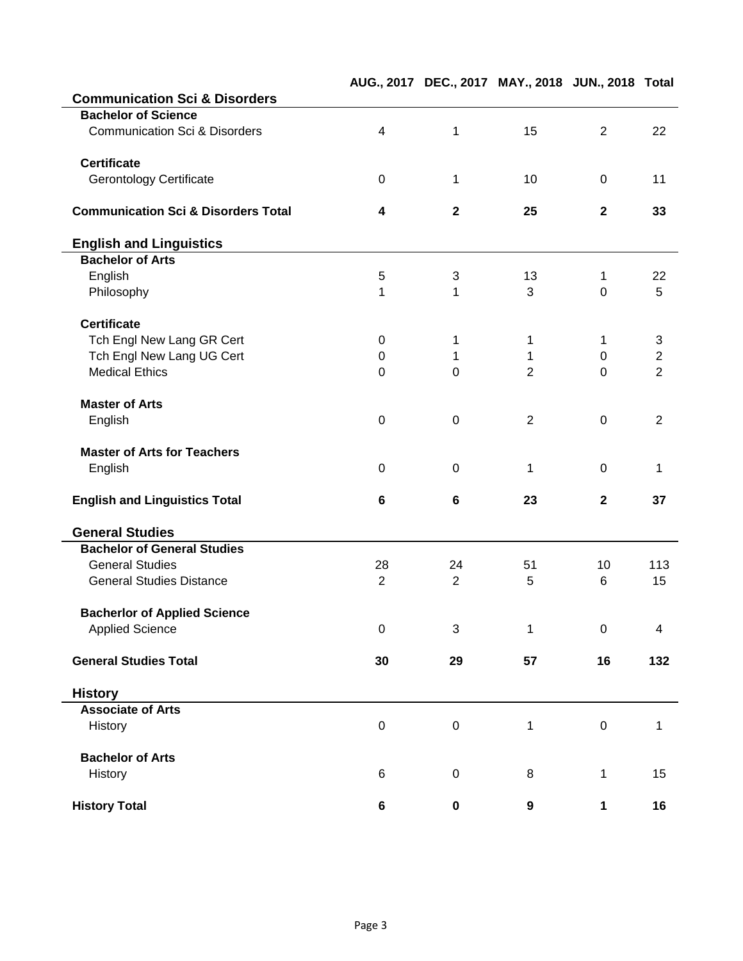|                                                |                |                 | AUG., 2017 DEC., 2017 MAY., 2018 JUN., 2018 Total |                         |                |
|------------------------------------------------|----------------|-----------------|---------------------------------------------------|-------------------------|----------------|
| <b>Communication Sci &amp; Disorders</b>       |                |                 |                                                   |                         |                |
| <b>Bachelor of Science</b>                     |                |                 |                                                   |                         |                |
| <b>Communication Sci &amp; Disorders</b>       | 4              | $\mathbf 1$     | 15                                                | $\overline{2}$          | 22             |
| <b>Certificate</b>                             |                |                 |                                                   |                         |                |
| <b>Gerontology Certificate</b>                 | $\pmb{0}$      | 1               | 10                                                | $\overline{0}$          | 11             |
| <b>Communication Sci &amp; Disorders Total</b> | 4              | $\mathbf{2}$    | 25                                                | $\mathbf{2}$            | 33             |
| <b>English and Linguistics</b>                 |                |                 |                                                   |                         |                |
| <b>Bachelor of Arts</b>                        |                |                 |                                                   |                         |                |
| English                                        | 5              | 3               | 13                                                | 1                       | 22             |
| Philosophy                                     | 1              | 1               | 3                                                 | $\overline{0}$          | 5              |
| <b>Certificate</b>                             |                |                 |                                                   |                         |                |
| Tch Engl New Lang GR Cert                      | 0              | 1               | 1                                                 | 1                       | $\sqrt{3}$     |
| Tch Engl New Lang UG Cert                      | $\pmb{0}$      | 1               | 1                                                 | 0                       | $\overline{2}$ |
| <b>Medical Ethics</b>                          | $\mathbf 0$    | $\overline{0}$  | $\overline{2}$                                    | $\overline{0}$          | $\overline{2}$ |
| <b>Master of Arts</b>                          |                |                 |                                                   |                         |                |
| English                                        | $\mathbf 0$    | $\mathbf 0$     | $\overline{2}$                                    | $\mathbf 0$             | $\overline{2}$ |
| <b>Master of Arts for Teachers</b>             |                |                 |                                                   |                         |                |
| English                                        | $\mathbf 0$    | 0               | 1                                                 | $\overline{0}$          | 1              |
| <b>English and Linguistics Total</b>           | 6              | $6\phantom{1}6$ | 23                                                | $\overline{\mathbf{2}}$ | 37             |
| <b>General Studies</b>                         |                |                 |                                                   |                         |                |
| <b>Bachelor of General Studies</b>             |                |                 |                                                   |                         |                |
| <b>General Studies</b>                         | 28             | 24              | 51                                                | 10                      | 113            |
| <b>General Studies Distance</b>                | $\overline{2}$ | $\overline{2}$  | 5                                                 | 6                       | 15             |
| <b>Bacherlor of Applied Science</b>            |                |                 |                                                   |                         |                |
| <b>Applied Science</b>                         | $\mathbf 0$    | 3               | 1                                                 | $\mathbf 0$             | 4              |
| <b>General Studies Total</b>                   | 30             | 29              | 57                                                | 16                      | 132            |
| <b>History</b>                                 |                |                 |                                                   |                         |                |
| <b>Associate of Arts</b>                       |                |                 |                                                   |                         |                |
| <b>History</b>                                 | $\pmb{0}$      | $\mathbf 0$     | 1                                                 | $\pmb{0}$               | 1              |
| <b>Bachelor of Arts</b>                        |                |                 |                                                   |                         |                |
| History                                        | 6              | 0               | 8                                                 | $\mathbf 1$             | 15             |
| <b>History Total</b>                           | 6              | 0               | 9                                                 | 1                       | 16             |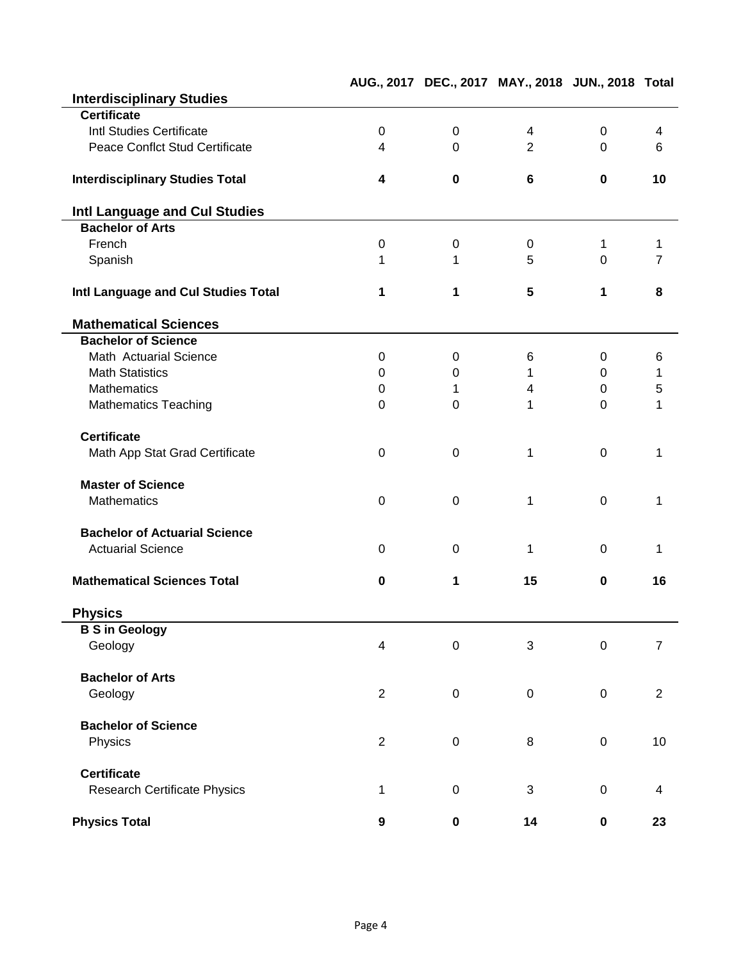|                                        |                  | AUG., 2017 DEC., 2017 MAY., 2018 JUN., 2018 Total |                |                  |                |
|----------------------------------------|------------------|---------------------------------------------------|----------------|------------------|----------------|
| <b>Interdisciplinary Studies</b>       |                  |                                                   |                |                  |                |
| <b>Certificate</b>                     |                  |                                                   |                |                  |                |
| Intl Studies Certificate               | $\mathbf 0$      | $\mathbf 0$                                       | 4              | $\mathbf 0$      | 4              |
| <b>Peace Conflct Stud Certificate</b>  | 4                | $\mathbf 0$                                       | $\overline{2}$ | $\overline{0}$   | 6              |
|                                        |                  |                                                   |                |                  |                |
| <b>Interdisciplinary Studies Total</b> | 4                | $\mathbf 0$                                       | 6              | $\mathbf 0$      | 10             |
| Intl Language and Cul Studies          |                  |                                                   |                |                  |                |
| <b>Bachelor of Arts</b>                |                  |                                                   |                |                  |                |
| French                                 | $\pmb{0}$        | $\boldsymbol{0}$                                  | $\mathbf 0$    | 1                |                |
| Spanish                                | 1                | 1                                                 | 5              | $\Omega$         | 7              |
| Intl Language and Cul Studies Total    | 1                | 1                                                 | 5              | 1                | 8              |
| <b>Mathematical Sciences</b>           |                  |                                                   |                |                  |                |
| <b>Bachelor of Science</b>             |                  |                                                   |                |                  |                |
| Math Actuarial Science                 | $\mathbf 0$      | $\mathbf 0$                                       | 6              | 0                | 6              |
| <b>Math Statistics</b>                 | $\Omega$         | $\mathbf 0$                                       | 1              | 0                | 1              |
| <b>Mathematics</b>                     | 0                | 1                                                 | 4              | 0                | 5              |
| <b>Mathematics Teaching</b>            | $\mathbf 0$      | 0                                                 | 1              | $\overline{0}$   | 1              |
| <b>Certificate</b>                     |                  |                                                   |                |                  |                |
| Math App Stat Grad Certificate         | $\mathbf 0$      | $\mathbf 0$                                       | 1              | $\mathbf 0$      | 1              |
| <b>Master of Science</b>               |                  |                                                   |                |                  |                |
| <b>Mathematics</b>                     | $\overline{0}$   | $\mathbf 0$                                       | 1              | $\overline{0}$   | 1              |
| <b>Bachelor of Actuarial Science</b>   |                  |                                                   |                |                  |                |
| <b>Actuarial Science</b>               | $\mathbf 0$      | $\mathbf 0$                                       | 1              | $\mathbf 0$      | 1              |
|                                        |                  |                                                   |                |                  |                |
| <b>Mathematical Sciences Total</b>     | $\bf{0}$         | 1                                                 | 15             | $\bf{0}$         | 16             |
| <b>Physics</b>                         |                  |                                                   |                |                  |                |
| <b>B S in Geology</b>                  |                  |                                                   |                |                  |                |
| Geology                                | $\overline{4}$   | $\pmb{0}$                                         | 3              | $\boldsymbol{0}$ | $\overline{7}$ |
| <b>Bachelor of Arts</b>                |                  |                                                   |                |                  |                |
| Geology                                | $\overline{2}$   | $\mathbf 0$                                       | $\mathbf 0$    | $\boldsymbol{0}$ | $\overline{2}$ |
| <b>Bachelor of Science</b>             |                  |                                                   |                |                  |                |
| Physics                                | $\overline{2}$   | $\mathbf 0$                                       | 8              | $\boldsymbol{0}$ | 10             |
| <b>Certificate</b>                     |                  |                                                   |                |                  |                |
| <b>Research Certificate Physics</b>    | 1                | $\pmb{0}$                                         | 3              | $\mathbf 0$      | 4              |
| <b>Physics Total</b>                   | $\boldsymbol{9}$ | $\pmb{0}$                                         | 14             | $\pmb{0}$        | 23             |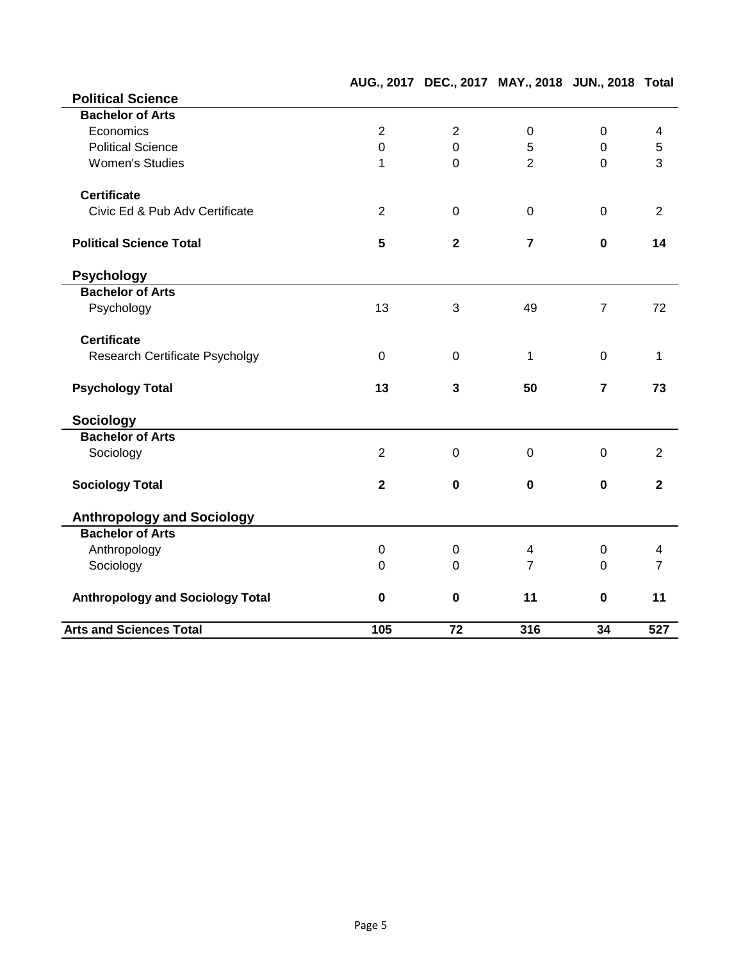|                                         |                |                         | AUG., 2017 DEC., 2017 MAY., 2018 JUN., 2018 Total |                |                |
|-----------------------------------------|----------------|-------------------------|---------------------------------------------------|----------------|----------------|
| <b>Political Science</b>                |                |                         |                                                   |                |                |
| <b>Bachelor of Arts</b>                 |                |                         |                                                   |                |                |
| Economics                               | $\overline{2}$ | $\overline{2}$          | $\mathbf 0$                                       | $\mathbf 0$    | $\overline{4}$ |
| <b>Political Science</b>                | $\mathbf 0$    | $\mathbf 0$             | 5                                                 | $\overline{0}$ | $\sqrt{5}$     |
| <b>Women's Studies</b>                  | 1              | $\overline{0}$          | $\overline{2}$                                    | $\overline{0}$ | 3              |
| <b>Certificate</b>                      |                |                         |                                                   |                |                |
| Civic Ed & Pub Adv Certificate          | $\overline{2}$ | $\mathbf 0$             | $\overline{0}$                                    | $\mathbf{0}$   | $\overline{2}$ |
| <b>Political Science Total</b>          | 5              | $\overline{\mathbf{2}}$ | $\overline{7}$                                    | $\mathbf 0$    | 14             |
| <b>Psychology</b>                       |                |                         |                                                   |                |                |
| <b>Bachelor of Arts</b>                 |                |                         |                                                   |                |                |
| Psychology                              | 13             | 3                       | 49                                                | $\overline{7}$ | 72             |
| <b>Certificate</b>                      |                |                         |                                                   |                |                |
| <b>Research Certificate Psycholgy</b>   | $\mathbf{0}$   | $\mathbf 0$             | 1                                                 | $\overline{0}$ | $\mathbf{1}$   |
| <b>Psychology Total</b>                 | 13             | $\mathbf{3}$            | 50                                                | $\overline{7}$ | 73             |
| Sociology                               |                |                         |                                                   |                |                |
| <b>Bachelor of Arts</b>                 |                |                         |                                                   |                |                |
| Sociology                               | $\overline{2}$ | $\mathbf 0$             | $\overline{0}$                                    | $\overline{0}$ | $\overline{2}$ |
| <b>Sociology Total</b>                  | $\mathbf{2}$   | $\mathbf 0$             | $\mathbf 0$                                       | $\mathbf 0$    | $\overline{2}$ |
| <b>Anthropology and Sociology</b>       |                |                         |                                                   |                |                |
| <b>Bachelor of Arts</b>                 |                |                         |                                                   |                |                |
| Anthropology                            | $\overline{0}$ | $\mathbf 0$             | $\overline{4}$                                    | $\mathbf 0$    | 4              |
| Sociology                               | $\Omega$       | $\mathbf 0$             | $\overline{7}$                                    | $\Omega$       | $\overline{7}$ |
| <b>Anthropology and Sociology Total</b> | $\mathbf 0$    | $\mathbf 0$             | 11                                                | $\mathbf 0$    | 11             |
| <b>Arts and Sciences Total</b>          | 105            | 72                      | 316                                               | 34             | 527            |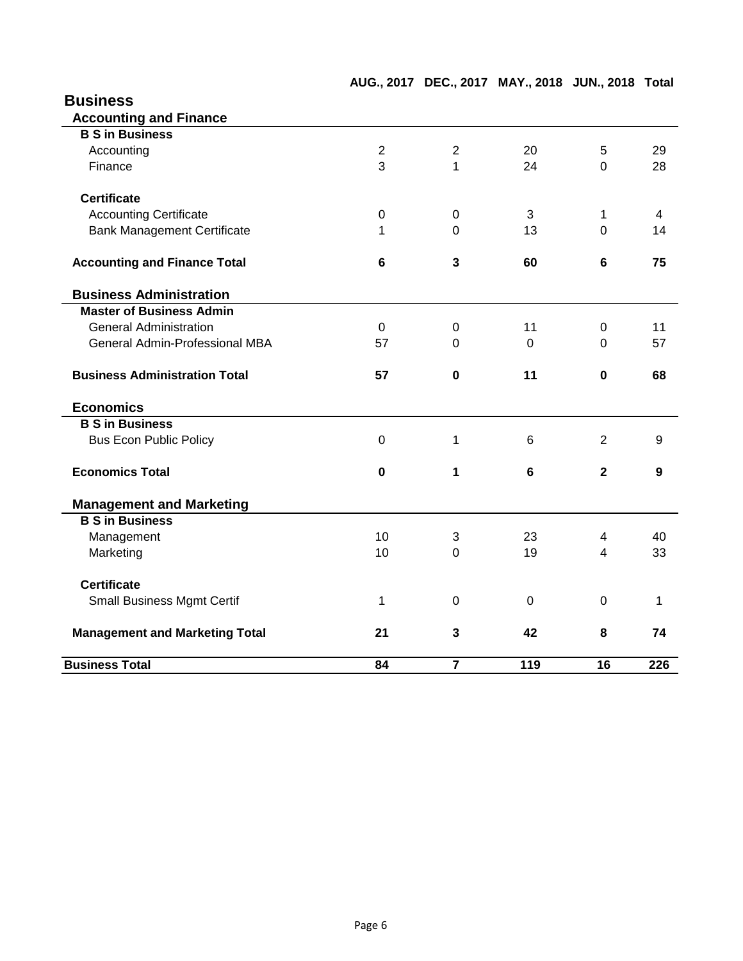# **Business Accounting and Finance B S in Business** Accounting 2 2 20 5 29 Finance 28 28 3 1 24 0 28 **Certificate** Accounting Certificate **120 CONFERGATE:**  $\begin{array}{ccccccc} 0 & 0 & 3 & 1 & 4 \end{array}$ Bank Management Certificate 1 1 0 13 0 14 **Accounting and Finance Total 6 3 60 6 75 Business Administration Master of Business Admin** General Administration **0** 0 11 0 11 General Admin-Professional MBA 57 0 0 0 57 **Business Administration Total 57 0 11 0 68 Economics B S in Business** Bus Econ Public Policy **0** 1 6 2 9 **Economics Total 0 1 6 2 9 Management and Marketing B S in Business** Management 10 3 23 4 40 Marketing 10 0 19 4 33 **Certificate** Small Business Mgmt Certif 1 0 0 0 1 **Management and Marketing Total 21 3 42 8 74 Business Total 84 7 119 16 226**

#### Page 6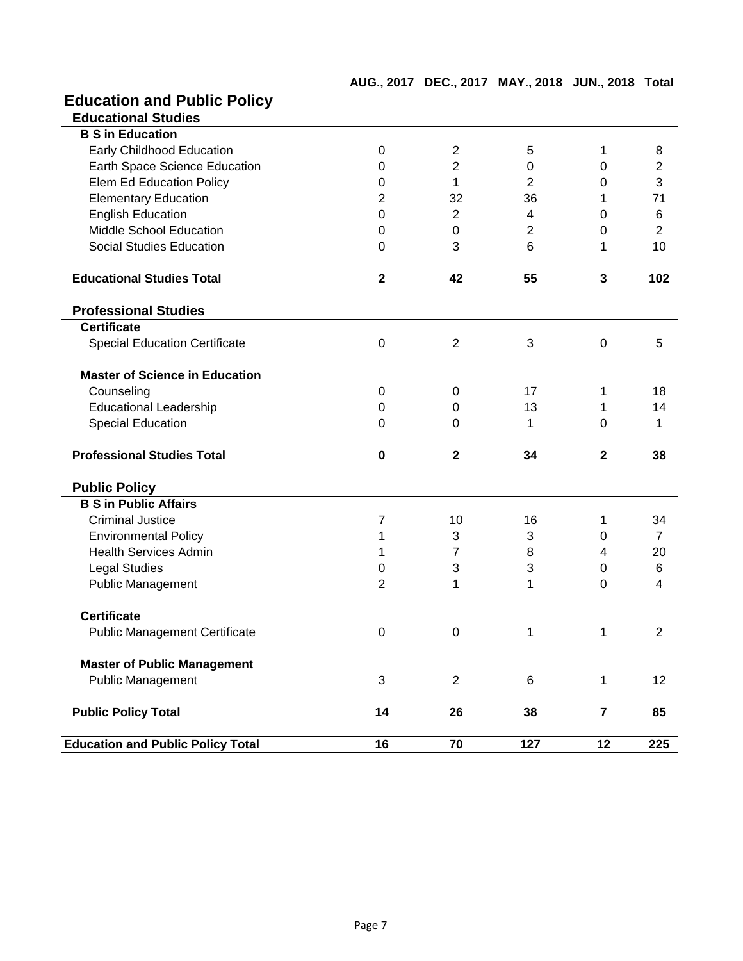## **Education and Public Policy**

| <b>Education and Public Policy Total</b> | 16             | 70             | 127                       | 12               | 225            |
|------------------------------------------|----------------|----------------|---------------------------|------------------|----------------|
| <b>Public Policy Total</b>               | 14             | 26             | 38                        | $\overline{7}$   | 85             |
| <b>Public Management</b>                 | 3              | $\overline{2}$ | 6                         | $\mathbf 1$      | 12             |
| <b>Master of Public Management</b>       |                |                |                           |                  |                |
|                                          |                |                |                           |                  |                |
| <b>Public Management Certificate</b>     | $\mathbf 0$    | $\mathbf 0$    | 1                         | 1                | $\overline{2}$ |
| <b>Certificate</b>                       |                |                |                           |                  |                |
| <b>Public Management</b>                 | $\overline{2}$ | 1              | 1                         | $\overline{0}$   | 4              |
| <b>Legal Studies</b>                     | 0              | $\sqrt{3}$     | $\ensuremath{\mathsf{3}}$ | $\boldsymbol{0}$ | 6              |
| <b>Health Services Admin</b>             | 1              | 7              | 8                         | 4                | 20             |
| <b>Environmental Policy</b>              | 1              | 3              | 3                         | 0                | $\overline{7}$ |
| <b>Criminal Justice</b>                  | 7              | 10             | 16                        | 1                | 34             |
| <b>B S in Public Affairs</b>             |                |                |                           |                  |                |
| <b>Public Policy</b>                     |                |                |                           |                  |                |
|                                          |                |                |                           |                  |                |
| <b>Professional Studies Total</b>        | $\mathbf 0$    | $\mathbf{2}$   | 34                        | $\mathbf{2}$     | 38             |
| <b>Special Education</b>                 | $\Omega$       | 0              | 1                         | $\Omega$         | 1              |
| <b>Educational Leadership</b>            | $\mathbf 0$    | 0              | 13                        | 1                | 14             |
| Counseling                               | $\mathbf 0$    | $\mathbf 0$    | 17                        | 1                | 18             |
| <b>Master of Science in Education</b>    |                |                |                           |                  |                |
|                                          |                |                |                           |                  |                |
| <b>Special Education Certificate</b>     | $\mathbf 0$    | $\overline{2}$ | 3                         | $\mathbf 0$      | 5              |
| <b>Certificate</b>                       |                |                |                           |                  |                |
| <b>Professional Studies</b>              |                |                |                           |                  |                |
| <b>Educational Studies Total</b>         | $\mathbf{2}$   | 42             | 55                        | $\mathbf{3}$     | 102            |
|                                          |                |                |                           |                  |                |
| <b>Social Studies Education</b>          | $\overline{0}$ | 3              | 6                         | 1                | 10             |
| Middle School Education                  | $\overline{0}$ | $\mathbf 0$    | $\overline{2}$            | $\mathbf 0$      | $\overline{2}$ |
| <b>English Education</b>                 | $\mathbf 0$    | $\overline{2}$ | 4                         | $\mathbf 0$      | 6              |
| <b>Elementary Education</b>              | $\overline{2}$ | 32             | 36                        | 1                | 71             |
| <b>Elem Ed Education Policy</b>          | $\mathbf 0$    | 1              | 2                         | 0                | 3              |
| Earth Space Science Education            | $\mathbf 0$    | $\overline{2}$ | $\mathbf 0$               | $\mathbf 0$      | $\overline{2}$ |
| <b>Early Childhood Education</b>         | $\mathbf 0$    | $\overline{2}$ | 5                         | 1                | 8              |
|                                          |                |                |                           |                  |                |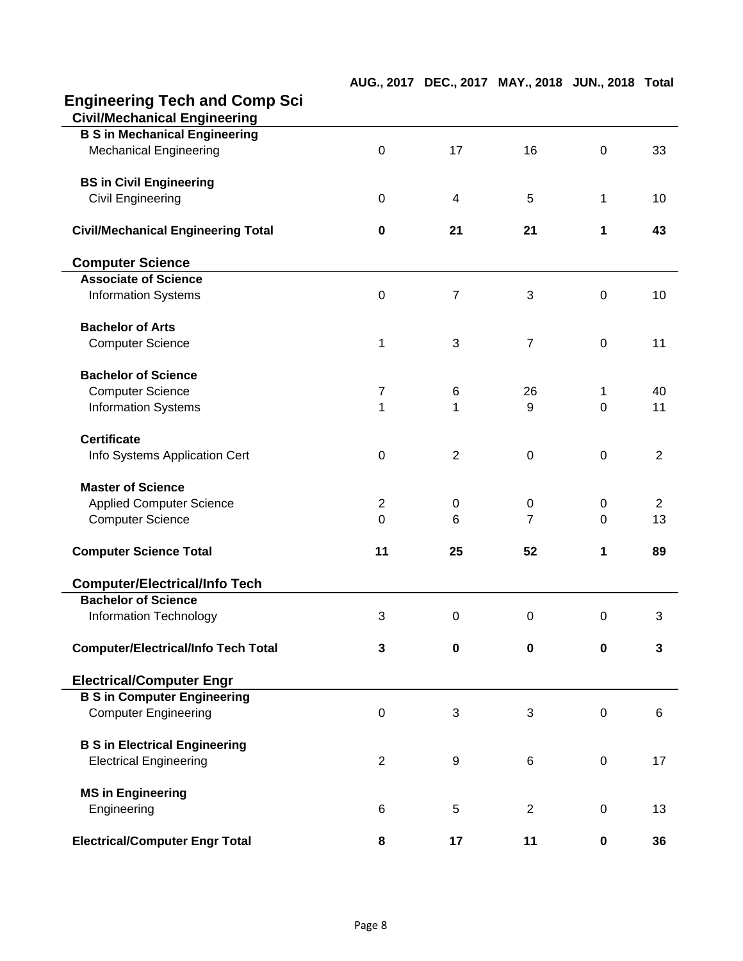| <b>Engineering Tech and Comp Sci</b>       |                  |                |                |                |                 |
|--------------------------------------------|------------------|----------------|----------------|----------------|-----------------|
| <b>Civil/Mechanical Engineering</b>        |                  |                |                |                |                 |
| <b>B S in Mechanical Engineering</b>       |                  |                |                |                |                 |
| <b>Mechanical Engineering</b>              | $\mathbf 0$      | 17             | 16             | $\mathbf 0$    | 33              |
| <b>BS in Civil Engineering</b>             |                  |                |                |                |                 |
| <b>Civil Engineering</b>                   | $\mathbf 0$      | 4              | 5              | $\mathbf{1}$   | 10              |
| <b>Civil/Mechanical Engineering Total</b>  | $\mathbf 0$      | 21             | 21             | 1              | 43              |
| <b>Computer Science</b>                    |                  |                |                |                |                 |
| <b>Associate of Science</b>                |                  |                |                |                |                 |
| <b>Information Systems</b>                 | $\boldsymbol{0}$ | 7              | 3              | $\overline{0}$ | 10              |
| <b>Bachelor of Arts</b>                    |                  |                |                |                |                 |
| <b>Computer Science</b>                    | 1                | 3              | $\overline{7}$ | $\mathbf 0$    | 11              |
| <b>Bachelor of Science</b>                 |                  |                |                |                |                 |
| <b>Computer Science</b>                    | $\overline{7}$   | 6              | 26             | 1              | 40              |
| <b>Information Systems</b>                 | $\overline{1}$   | 1              | 9              | $\overline{0}$ | 11              |
| <b>Certificate</b>                         |                  |                |                |                |                 |
| Info Systems Application Cert              | $\pmb{0}$        | $\overline{2}$ | $\pmb{0}$      | $\mathbf 0$    | $\overline{2}$  |
| <b>Master of Science</b>                   |                  |                |                |                |                 |
| <b>Applied Computer Science</b>            | $\overline{2}$   | 0              | 0              | 0              | $\overline{2}$  |
| <b>Computer Science</b>                    | $\overline{0}$   | 6              | $\overline{7}$ | $\overline{0}$ | 13              |
| <b>Computer Science Total</b>              | 11               | 25             | 52             | 1              | 89              |
| <b>Computer/Electrical/Info Tech</b>       |                  |                |                |                |                 |
| <b>Bachelor of Science</b>                 |                  |                |                |                |                 |
| <b>Information Technology</b>              | 3                | $\mathbf 0$    | 0              | 0              | 3               |
| <b>Computer/Electrical/Info Tech Total</b> | $\mathbf{3}$     | $\mathbf 0$    | $\mathbf 0$    | $\mathbf 0$    | $\mathbf{3}$    |
| <b>Electrical/Computer Engr</b>            |                  |                |                |                |                 |
| <b>B S in Computer Engineering</b>         |                  |                |                |                |                 |
| <b>Computer Engineering</b>                | $\boldsymbol{0}$ | 3              | 3              | $\mathbf 0$    | $6\phantom{1}6$ |
| <b>B S in Electrical Engineering</b>       |                  |                |                |                |                 |
| <b>Electrical Engineering</b>              | $\overline{2}$   | 9              | 6              | $\mathbf 0$    | 17              |
| <b>MS in Engineering</b>                   |                  |                |                |                |                 |
| Engineering                                | 6                | 5              | $\overline{2}$ | $\mathbf 0$    | 13              |
| <b>Electrical/Computer Engr Total</b>      | 8                | 17             | 11             | 0              | 36              |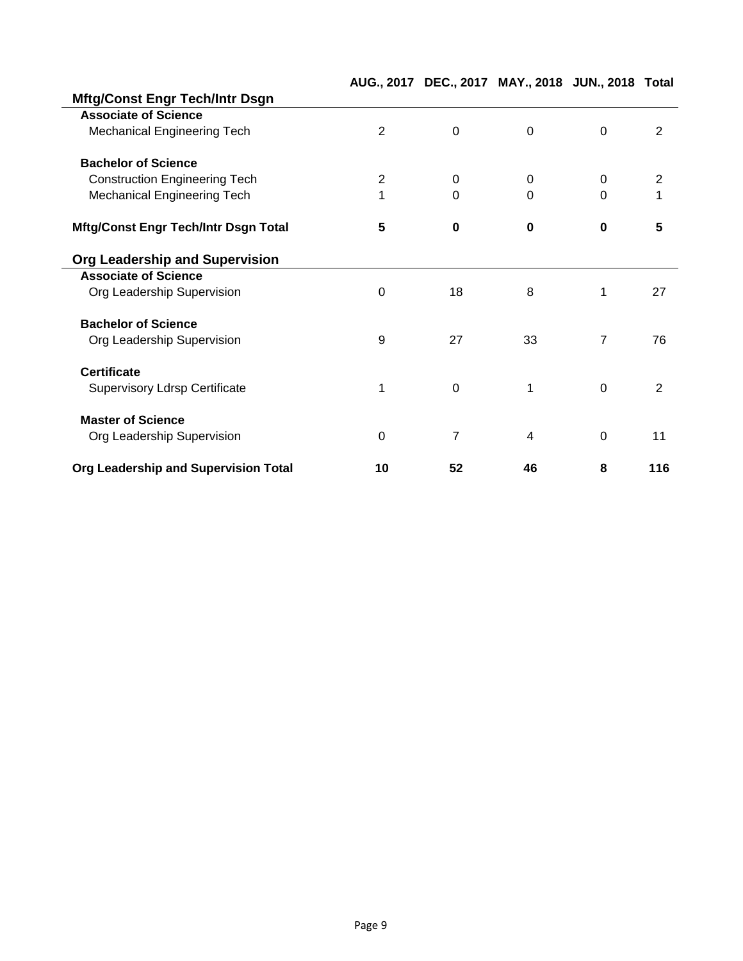|                                             |                |                | AUG., 2017 DEC., 2017 MAY., 2018 JUN., 2018 Total |                |                |
|---------------------------------------------|----------------|----------------|---------------------------------------------------|----------------|----------------|
| <b>Mftg/Const Engr Tech/Intr Dsgn</b>       |                |                |                                                   |                |                |
| <b>Associate of Science</b>                 |                |                |                                                   |                |                |
| <b>Mechanical Engineering Tech</b>          | $\overline{2}$ | $\mathbf 0$    | $\mathbf{0}$                                      | $\overline{0}$ | $\overline{2}$ |
| <b>Bachelor of Science</b>                  |                |                |                                                   |                |                |
| <b>Construction Engineering Tech</b>        | $\overline{2}$ | 0              | $\overline{0}$                                    | $\overline{0}$ | $\overline{2}$ |
| <b>Mechanical Engineering Tech</b>          | 1              | $\overline{0}$ | $\Omega$                                          | $\Omega$       | 1              |
| <b>Mftg/Const Engr Tech/Intr Dsgn Total</b> | 5              | $\mathbf 0$    | $\mathbf 0$                                       | $\mathbf 0$    | 5              |
| <b>Org Leadership and Supervision</b>       |                |                |                                                   |                |                |
| <b>Associate of Science</b>                 |                |                |                                                   |                |                |
| Org Leadership Supervision                  | $\mathbf 0$    | 18             | 8                                                 | 1              | 27             |
| <b>Bachelor of Science</b>                  |                |                |                                                   |                |                |
| Org Leadership Supervision                  | 9              | 27             | 33                                                | $\overline{7}$ | 76             |
| <b>Certificate</b>                          |                |                |                                                   |                |                |
| <b>Supervisory Ldrsp Certificate</b>        | 1              | $\mathbf 0$    | 1                                                 | $\overline{0}$ | 2              |
| <b>Master of Science</b>                    |                |                |                                                   |                |                |
| Org Leadership Supervision                  | $\mathbf 0$    | 7              | $\overline{4}$                                    | $\overline{0}$ | 11             |
| Org Leadership and Supervision Total        | 10             | 52             | 46                                                | 8              | 116            |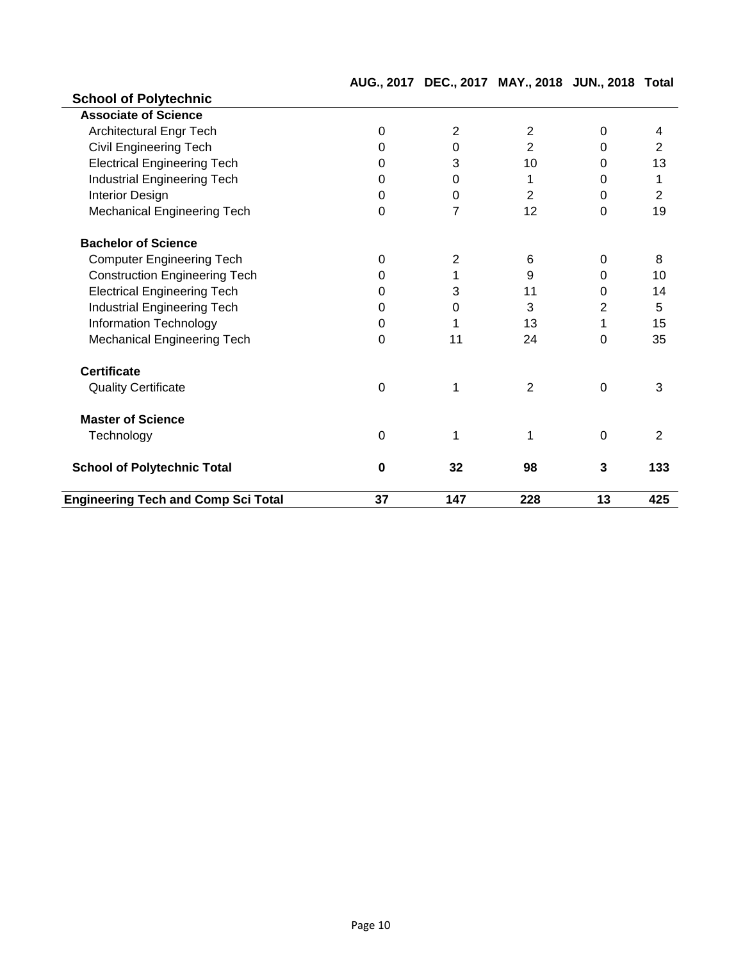|                                            |             |                | AUG., 2017 DEC., 2017 MAY., 2018 JUN., 2018 Total |                |                |
|--------------------------------------------|-------------|----------------|---------------------------------------------------|----------------|----------------|
| <b>School of Polytechnic</b>               |             |                |                                                   |                |                |
| <b>Associate of Science</b>                |             |                |                                                   |                |                |
| <b>Architectural Engr Tech</b>             | $\mathbf 0$ | $\overline{2}$ | $\overline{2}$                                    | $\overline{0}$ | 4              |
| <b>Civil Engineering Tech</b>              | 0           | $\mathbf 0$    | $\overline{2}$                                    | $\overline{0}$ | $\overline{2}$ |
| <b>Electrical Engineering Tech</b>         | 0           | 3              | 10                                                | $\overline{0}$ | 13             |
| <b>Industrial Engineering Tech</b>         | 0           | 0              | 1                                                 | 0              | 1              |
| <b>Interior Design</b>                     | $\Omega$    | $\mathbf 0$    | 2                                                 | 0              | $\overline{2}$ |
| <b>Mechanical Engineering Tech</b>         | $\mathbf 0$ | $\overline{7}$ | 12                                                | 0              | 19             |
| <b>Bachelor of Science</b>                 |             |                |                                                   |                |                |
| <b>Computer Engineering Tech</b>           | $\mathbf 0$ | 2              | 6                                                 | 0              | 8              |
| <b>Construction Engineering Tech</b>       | 0           |                | 9                                                 | $\Omega$       | 10             |
| <b>Electrical Engineering Tech</b>         | 0           | 3              | 11                                                | 0              | 14             |
| <b>Industrial Engineering Tech</b>         | 0           | $\mathbf 0$    | 3                                                 | 2              | 5              |
| Information Technology                     | $\mathbf 0$ |                | 13                                                | 1              | 15             |
| Mechanical Engineering Tech                | $\mathbf 0$ | 11             | 24                                                | 0              | 35             |
| <b>Certificate</b>                         |             |                |                                                   |                |                |
| <b>Quality Certificate</b>                 | $\mathbf 0$ | 1              | $\overline{2}$                                    | $\mathbf 0$    | 3              |
| <b>Master of Science</b>                   |             |                |                                                   |                |                |
| Technology                                 | $\Omega$    | 1              | 1                                                 | $\Omega$       | 2              |
| <b>School of Polytechnic Total</b>         | $\bf{0}$    | 32             | 98                                                | 3              | 133            |
| <b>Engineering Tech and Comp Sci Total</b> | 37          | 147            | 228                                               | 13             | 425            |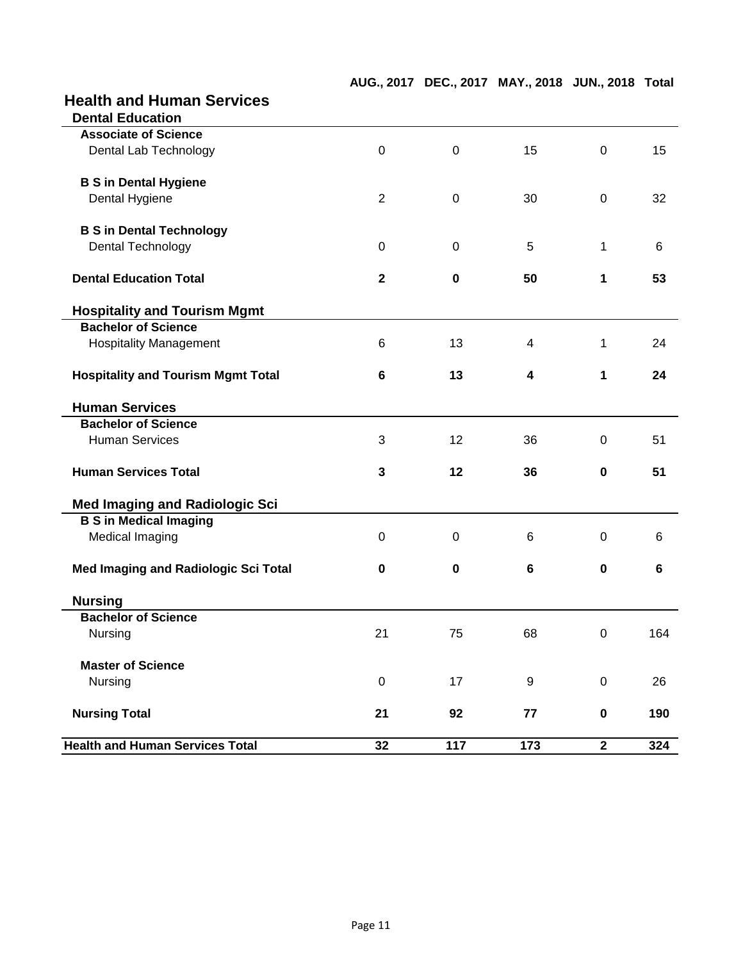## **Health and Human Services**

| <b>Health and Human Services Total</b>                 | 32             | 117         | 173              | $\overline{2}$   | 324 |
|--------------------------------------------------------|----------------|-------------|------------------|------------------|-----|
| <b>Nursing Total</b>                                   | 21             | 92          | 77               | $\pmb{0}$        | 190 |
| Nursing                                                | $\pmb{0}$      | 17          | $\boldsymbol{9}$ | $\pmb{0}$        | 26  |
| <b>Master of Science</b>                               |                |             |                  |                  |     |
| Nursing                                                | 21             | 75          | 68               | $\boldsymbol{0}$ | 164 |
| <b>Bachelor of Science</b>                             |                |             |                  |                  |     |
| <b>Nursing</b>                                         |                |             |                  |                  |     |
| <b>Med Imaging and Radiologic Sci Total</b>            | $\mathbf 0$    | $\mathbf 0$ | 6                | $\mathbf 0$      | 6   |
| <b>Medical Imaging</b>                                 | $\overline{0}$ | $\mathbf 0$ | 6                | $\mathbf 0$      | 6   |
| <b>B S in Medical Imaging</b>                          |                |             |                  |                  |     |
| <b>Med Imaging and Radiologic Sci</b>                  |                |             |                  |                  |     |
| <b>Human Services Total</b>                            | 3              | 12          | 36               | $\mathbf 0$      | 51  |
| <b>Human Services</b>                                  | 3              | 12          | 36               | $\mathbf 0$      | 51  |
| <b>Bachelor of Science</b>                             |                |             |                  |                  |     |
| <b>Human Services</b>                                  |                |             |                  |                  |     |
| <b>Hospitality and Tourism Mgmt Total</b>              | 6              | 13          | 4                | 1                | 24  |
| <b>Hospitality Management</b>                          | 6              | 13          | $\overline{4}$   | 1                | 24  |
| <b>Bachelor of Science</b>                             |                |             |                  |                  |     |
| <b>Hospitality and Tourism Mgmt</b>                    |                |             |                  |                  |     |
| <b>Dental Education Total</b>                          | $\overline{2}$ | $\mathbf 0$ | 50               | 1                | 53  |
| Dental Technology                                      | $\mathbf 0$    | $\mathbf 0$ | 5                | $\mathbf{1}$     | 6   |
| <b>B S in Dental Technology</b>                        |                |             |                  |                  |     |
| Dental Hygiene                                         | $\overline{2}$ | $\mathbf 0$ | 30               | $\mathbf 0$      | 32  |
| <b>B S in Dental Hygiene</b>                           |                |             |                  |                  |     |
| Dental Lab Technology                                  | $\mathbf 0$    | $\mathbf 0$ | 15               | $\overline{0}$   | 15  |
| <b>Dental Education</b><br><b>Associate of Science</b> |                |             |                  |                  |     |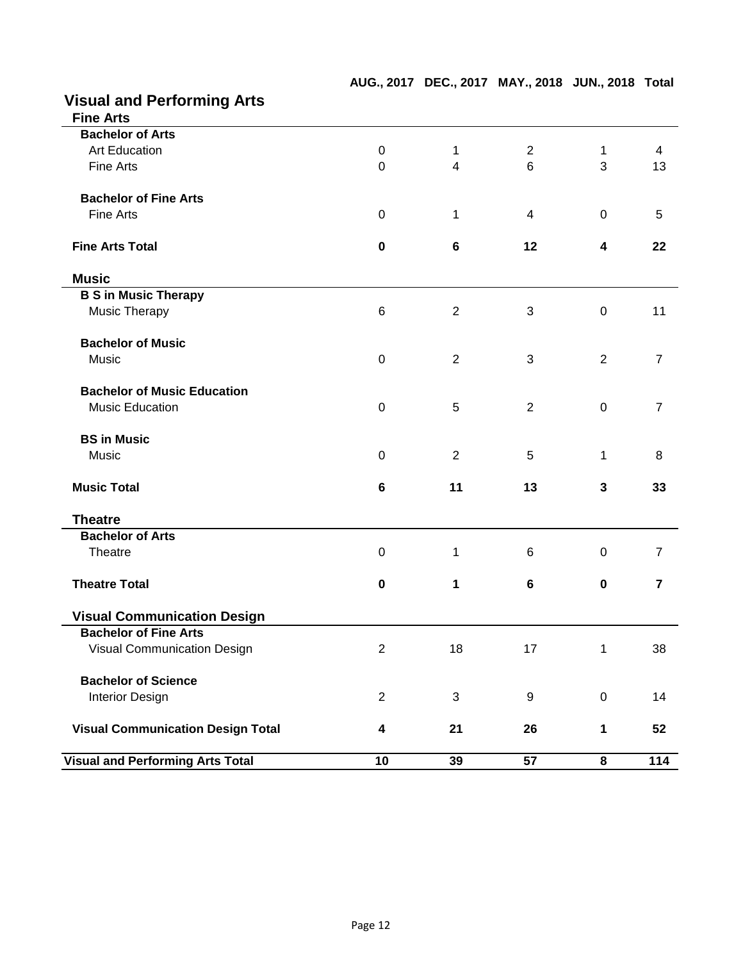|  | <b>Visual and Performing Arts</b> |
|--|-----------------------------------|
|  |                                   |

| <b>Visual and Performing Arts Total</b>  | 10                      | 39             | 57 | 8            | 114            |
|------------------------------------------|-------------------------|----------------|----|--------------|----------------|
| <b>Visual Communication Design Total</b> | $\overline{\mathbf{4}}$ | 21             | 26 | 1            | 52             |
| <b>Interior Design</b>                   | $\overline{2}$          | $\mathfrak{B}$ | 9  | $\mathbf 0$  | 14             |
| <b>Bachelor of Science</b>               |                         |                |    |              |                |
| <b>Visual Communication Design</b>       | $\overline{2}$          | 18             | 17 | $\mathbf 1$  | 38             |
| <b>Bachelor of Fine Arts</b>             |                         |                |    |              |                |
| <b>Visual Communication Design</b>       |                         |                |    |              |                |
| <b>Theatre Total</b>                     | $\mathbf 0$             | 1              | 6  | $\mathbf 0$  | $\overline{7}$ |
| <b>Bachelor of Arts</b><br>Theatre       | $\pmb{0}$               | 1              | 6  | $\mathbf 0$  | $\overline{7}$ |
| <b>Theatre</b>                           |                         |                |    |              |                |
|                                          |                         |                |    |              |                |
| <b>Music Total</b>                       | 6                       | 11             | 13 | $\mathbf{3}$ | 33             |
| Music                                    | $\mathbf 0$             | $\overline{2}$ | 5  | 1            | 8              |
| <b>BS in Music</b>                       |                         |                |    |              |                |
| <b>Music Education</b>                   | $\pmb{0}$               | 5              | 2  | $\mathbf 0$  | $\overline{7}$ |
| <b>Bachelor of Music Education</b>       |                         |                |    |              |                |
| <b>Music</b>                             | $\pmb{0}$               | $\overline{2}$ | 3  | 2            | $\overline{7}$ |
| <b>Bachelor of Music</b>                 |                         |                |    |              |                |
| <b>Music Therapy</b>                     | 6                       | $\overline{2}$ | 3  | $\mathbf 0$  | 11             |
| <b>B S in Music Therapy</b>              |                         |                |    |              |                |
| <b>Music</b>                             |                         |                |    |              |                |
| <b>Fine Arts Total</b>                   | $\pmb{0}$               | $6\phantom{1}$ | 12 | 4            | 22             |
| <b>Fine Arts</b>                         | $\mathbf 0$             | 1              | 4  | $\mathbf 0$  | 5              |
| <b>Bachelor of Fine Arts</b>             |                         |                |    |              |                |
| <b>Fine Arts</b>                         | $\mathbf 0$             | $\overline{4}$ | 6  | 3            | 13             |
| <b>Art Education</b>                     | $\mathbf 0$             | 1              | 2  | 1            | 4              |
| <b>Bachelor of Arts</b>                  |                         |                |    |              |                |